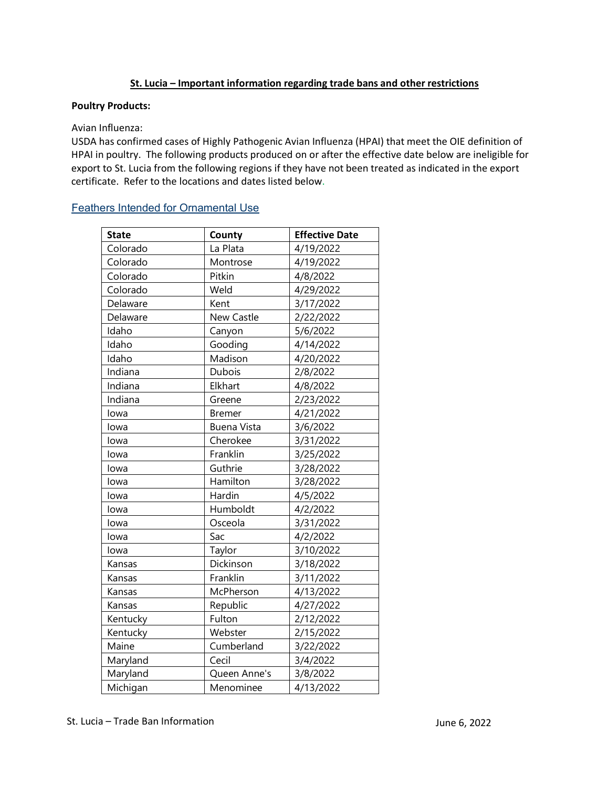# **St. Lucia – Important information regarding trade bans and other restrictions**

### **Poultry Products:**

### Avian Influenza:

 HPAI in poultry. The following products produced on or after the effective date below are ineligible for USDA has confirmed cases of Highly Pathogenic Avian Influenza (HPAI) that meet the OIE definition of export to St. Lucia from the following regions if they have not been treated as indicated in the export certificate. Refer to the locations and dates listed below.

# [Feathers Intended for Ornamental Use](https://www.aphis.usda.gov/regulations/vs/iregs/products/downloads/st-feathers.pdf)

| <b>State</b> | County             | <b>Effective Date</b> |
|--------------|--------------------|-----------------------|
| Colorado     | La Plata           | 4/19/2022             |
| Colorado     | Montrose           | 4/19/2022             |
| Colorado     | Pitkin             | 4/8/2022              |
| Colorado     | Weld               | 4/29/2022             |
| Delaware     | Kent               | 3/17/2022             |
| Delaware     | New Castle         | 2/22/2022             |
| Idaho        | Canyon             | 5/6/2022              |
| Idaho        | Gooding            | 4/14/2022             |
| Idaho        | Madison            | 4/20/2022             |
| Indiana      | Dubois             | 2/8/2022              |
| Indiana      | Elkhart            | 4/8/2022              |
| Indiana      | Greene             | 2/23/2022             |
| lowa         | <b>Bremer</b>      | 4/21/2022             |
| lowa         | <b>Buena Vista</b> | 3/6/2022              |
| lowa         | Cherokee           | 3/31/2022             |
| lowa         | Franklin           | 3/25/2022             |
| lowa         | Guthrie            | 3/28/2022             |
| lowa         | Hamilton           | 3/28/2022             |
| lowa         | Hardin             | 4/5/2022              |
| lowa         | Humboldt           | 4/2/2022              |
| lowa         | Osceola            | 3/31/2022             |
| lowa         | Sac                | 4/2/2022              |
| lowa         | Taylor             | 3/10/2022             |
| Kansas       | Dickinson          | 3/18/2022             |
| Kansas       | Franklin           | 3/11/2022             |
| Kansas       | McPherson          | 4/13/2022             |
| Kansas       | Republic           | 4/27/2022             |
| Kentucky     | Fulton             | 2/12/2022             |
| Kentucky     | Webster            | 2/15/2022             |
| Maine        | Cumberland         | 3/22/2022             |
| Maryland     | Cecil              | 3/4/2022              |
| Maryland     | Queen Anne's       | 3/8/2022              |
| Michigan     | Menominee          | 4/13/2022             |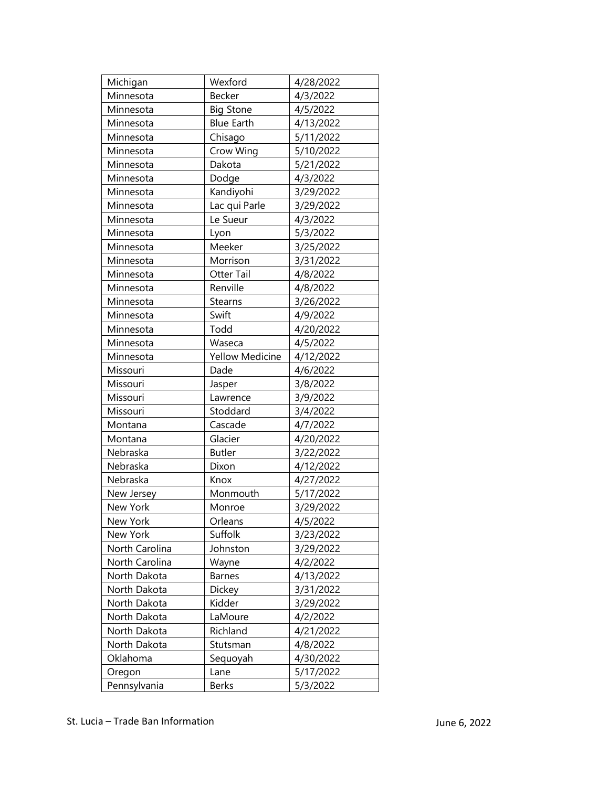| Michigan       | Wexford                | 4/28/2022 |
|----------------|------------------------|-----------|
| Minnesota      | Becker                 | 4/3/2022  |
| Minnesota      | <b>Big Stone</b>       | 4/5/2022  |
|                |                        |           |
| Minnesota      | <b>Blue Earth</b>      | 4/13/2022 |
| Minnesota      | Chisago                | 5/11/2022 |
| Minnesota      | Crow Wing              | 5/10/2022 |
| Minnesota      | Dakota                 | 5/21/2022 |
| Minnesota      | Dodge                  | 4/3/2022  |
| Minnesota      | Kandiyohi              | 3/29/2022 |
| Minnesota      | Lac qui Parle          | 3/29/2022 |
| Minnesota      | Le Sueur               | 4/3/2022  |
| Minnesota      | Lyon                   | 5/3/2022  |
| Minnesota      | Meeker                 | 3/25/2022 |
| Minnesota      | Morrison               | 3/31/2022 |
| Minnesota      | Otter Tail             | 4/8/2022  |
| Minnesota      | Renville               | 4/8/2022  |
| Minnesota      | Stearns                | 3/26/2022 |
| Minnesota      | Swift                  | 4/9/2022  |
| Minnesota      | Todd                   | 4/20/2022 |
| Minnesota      | Waseca                 | 4/5/2022  |
| Minnesota      | <b>Yellow Medicine</b> | 4/12/2022 |
| Missouri       | Dade                   | 4/6/2022  |
| Missouri       | Jasper                 | 3/8/2022  |
| Missouri       | Lawrence               | 3/9/2022  |
| Missouri       | Stoddard               | 3/4/2022  |
| Montana        | Cascade                | 4/7/2022  |
| Montana        | Glacier                | 4/20/2022 |
| Nebraska       | <b>Butler</b>          | 3/22/2022 |
| Nebraska       | Dixon                  | 4/12/2022 |
| Nebraska       | Knox                   | 4/27/2022 |
| New Jersey     | Monmouth               | 5/17/2022 |
| New York       | Monroe                 | 3/29/2022 |
| New York       | Orleans                | 4/5/2022  |
| New York       | Suffolk                | 3/23/2022 |
| North Carolina | Johnston               | 3/29/2022 |
| North Carolina | Wayne                  | 4/2/2022  |
| North Dakota   | Barnes                 | 4/13/2022 |
| North Dakota   | Dickey                 | 3/31/2022 |
| North Dakota   | Kidder                 | 3/29/2022 |
| North Dakota   | LaMoure                | 4/2/2022  |
| North Dakota   | Richland               | 4/21/2022 |
| North Dakota   | Stutsman               | 4/8/2022  |
| Oklahoma       | Sequoyah               | 4/30/2022 |
| Oregon         | Lane                   | 5/17/2022 |
|                | <b>Berks</b>           |           |
| Pennsylvania   |                        | 5/3/2022  |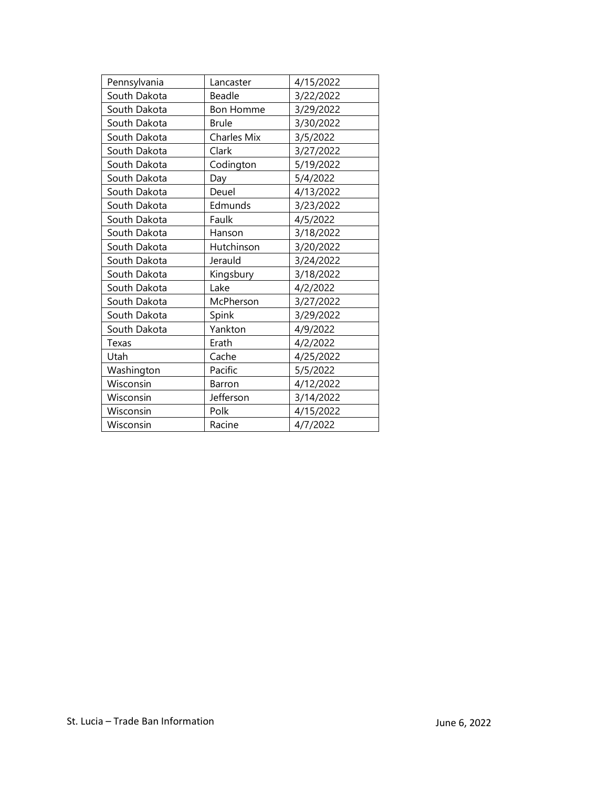| Pennsylvania | Lancaster          | 4/15/2022 |
|--------------|--------------------|-----------|
| South Dakota | Beadle             | 3/22/2022 |
| South Dakota | <b>Bon Homme</b>   | 3/29/2022 |
| South Dakota | <b>Brule</b>       | 3/30/2022 |
| South Dakota | <b>Charles Mix</b> | 3/5/2022  |
| South Dakota | Clark              | 3/27/2022 |
| South Dakota | Codington          | 5/19/2022 |
| South Dakota | Day                | 5/4/2022  |
| South Dakota | Deuel              | 4/13/2022 |
| South Dakota | Edmunds            | 3/23/2022 |
| South Dakota | Faulk              | 4/5/2022  |
| South Dakota | Hanson             | 3/18/2022 |
| South Dakota | Hutchinson         | 3/20/2022 |
| South Dakota | Jerauld            | 3/24/2022 |
| South Dakota | Kingsbury          | 3/18/2022 |
| South Dakota | Lake               | 4/2/2022  |
| South Dakota | McPherson          | 3/27/2022 |
| South Dakota | Spink              | 3/29/2022 |
| South Dakota | Yankton            | 4/9/2022  |
| Texas        | Erath              | 4/2/2022  |
| Utah         | Cache              | 4/25/2022 |
| Washington   | Pacific            | 5/5/2022  |
| Wisconsin    | Barron             | 4/12/2022 |
| Wisconsin    | Jefferson          | 3/14/2022 |
| Wisconsin    | Polk               | 4/15/2022 |
| Wisconsin    | Racine             | 4/7/2022  |